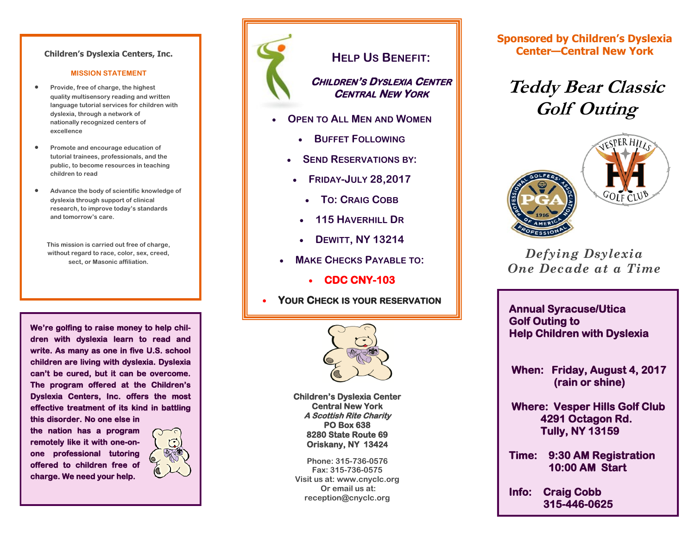#### **Children's Dyslexia Centers, Inc.**

#### **MISSION STATEMENT**

- **Provide, free of charge, the highest quality multisensory reading and written language tutorial services for children with dyslexia, through a network of nationally recognized centers of excellence**
- **Promote and encourage education of tutorial trainees, professionals, and the public, to become resources in teaching children to read**
- **Advance the body of scientific knowledge of dyslexia through support of clinical research, to improve today's standards and tomorrow's care.**
	- **This mission is carried out free of charge, without regard to race, color, sex, creed, sect, or Masonic affiliation.**

**We're golfing to raise money to help children with dyslexia learn to read and write. As many as one in five U.S. school children are living with dyslexia. Dyslexia can't be cured, but it can be overcome. The program offered at the Children's Dyslexia Centers, Inc. offers the most effective treatment of its kind in battling this disorder. No one else in** 

**the nation has a program remotely like it with one-onone professional tutoring offered to children free of charge. We need your help.** 





### **HELP US BENEFIT:**

### **CHILDREN'S DYSLEXIA CENTER CENTRAL NEW YORK**

- **OPEN TO ALL MEN AND WOMEN**
	- **BUFFET FOLLOWING**
	- **SEND RESERVATIONS BY:**
	- **FRIDAY-JULY 28,2017**
		- **TO: CRAIG COBB**
		- **115 HAVERHILL DR**
		- **DEWITT, NY 13214**
	- **MAKE CHECKS PAYABLE TO:**
		- **CDC CNY-103**
- **YOUR CHECK IS YOUR RESERVATION**



**Children's Dyslexia Center Central New York A Scottish Rite Charity PO Box 638 8280 State Route 69 Oriskany, NY 13424** 

**Phone: 315-736-0576 Fax: 315-736-0575 Visit us at: www.cnyclc.org Or email us at: reception@cnyclc.org**

**Sponsored by Children's Dyslexia Center—Central New York**

# **Teddy Bear Classic Golf Outing**





### *Defying Dsylexia One Decade at a Time*

**Annual Syracuse/Utica Golf Outing to Help Children with Dyslexia** 

 **When: Friday, August 4, 2017 (rain or shine)** 

 **Where: Vesper Hills Golf Club 4291 Octagon Rd. Tully, NY 13159** 

**Time: 9:30 AM Registration 10:00 AM Start** 

**Info: Craig Cobb 315-446-0625**